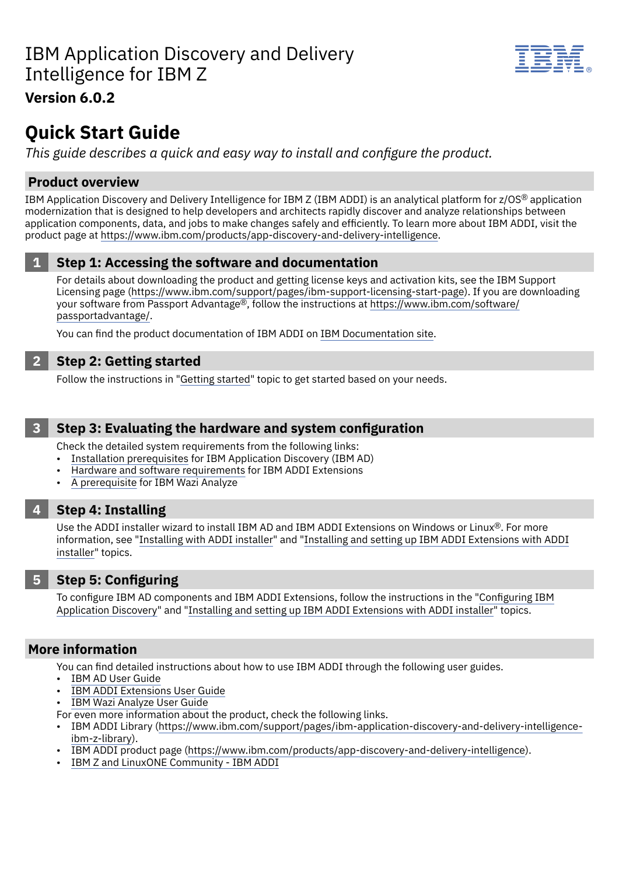

# **Version 6.0.2**

# **Quick Start Guide**

*This guide describes a quick and easy way to install and configure the product.*

# **Product overview**

IBM Application Discovery and Delivery Intelligence for IBM Z (IBM ADDI) is an analytical platform for z/OS® application modernization that is designed to help developers and architects rapidly discover and analyze relationships between application components, data, and jobs to make changes safely and efficiently. To learn more about IBM ADDI, visit the product page at <https://www.ibm.com/products/app-discovery-and-delivery-intelligence>.

# **1 Step 1: Accessing the software and documentation**

For details about downloading the product and getting license keys and activation kits, see the IBM Support Licensing page [\(https://www.ibm.com/support/pages/ibm-support-licensing-start-page\)](https://www.ibm.com/support/pages/ibm-support-licensing-start-page). If you are downloading your software from Passport Advantage®, follow the instructions at [https://www.ibm.com/software/](https://www.ibm.com/software/passportadvantage/) [passportadvantage/](https://www.ibm.com/software/passportadvantage/).

You can find the product documentation of IBM ADDI on IBM [Documentation](https://www.ibm.com/docs/en/addi/6.0.2) site.

## **2 Step 2: Getting started**

Follow the instructions in ["Getting](https://www.ibm.com/docs/en/addi/6.0.2?topic=getting-started) started" topic to get started based on your needs.

### **3 Step 3: Evaluating the hardware and system configuration**

Check the detailed system requirements from the following links:

- Installation [prerequisites](https://www.ibm.com/docs/en/addi/6.0.2?topic=installing-prerequisites) for IBM Application Discovery (IBM AD)
- Hardware and software [requirements](https://www.ibm.com/docs/en/addi/6.0.2?topic=setup-hardware-software-requirements) for IBM ADDI Extensions
- A [prerequisite](https://www.ibm.com/docs/en/addi/6.0.2?topic=v140-prerequisite-setting-up-docker) for IBM Wazi Analyze

### **4 Step 4: Installing**

Use the ADDI installer wizard to install IBM AD and IBM ADDI Extensions on Windows or Linux®. For more information, see "[Installing](https://www.ibm.com/docs/en/addi/6.0.2?topic=installing-components-addi-installer) with ADDI installer" and "Installing and setting up IBM ADDI [Extensions](https://www.ibm.com/docs/en/addi/6.0.2?topic=setup-installing-setting-up-addi-extensions-addi-installer) with ADDI [installer"](https://www.ibm.com/docs/en/addi/6.0.2?topic=setup-installing-setting-up-addi-extensions-addi-installer) topics.

### **5 Step 5: Configuring**

To configure IBM AD components and IBM ADDI Extensions, follow the instructions in the "[Configuring](https://www.ibm.com/docs/en/addi/6.0.2?topic=v602-configuring) IBM [Application](https://www.ibm.com/docs/en/addi/6.0.2?topic=v602-configuring) Discovery" and "Installing and setting up IBM ADDI [Extensions](https://www.ibm.com/docs/en/addi/6.0.2?topic=setup-installing-setting-up-addi-extensions-addi-installer) with ADDI installer" topics.

### **More information**

You can find detailed instructions about how to use IBM ADDI through the following user guides.

- [IBM AD User Guide](https://www.ibm.com/docs/en/addi/6.0.2?topic=ad-user-guide-v602)
- IBM ADDI [Extensions](https://www.ibm.com/docs/en/addi/6.0.2?topic=addi-extensions-user-guide-v602) User Guide
- IBM Wazi [Analyze](https://www.ibm.com/docs/en/addi/6.0.2?topic=wazi-analyze-user-guide-v140) User Guide

For even more information about the product, check the following links.

- IBM ADDI Library ([https://www.ibm.com/support/pages/ibm-application-discovery-and-delivery-intelligence](https://www.ibm.com/support/pages/ibm-application-discovery-and-delivery-intelligence-ibm-z-library)[ibm-z-library\)](https://www.ibm.com/support/pages/ibm-application-discovery-and-delivery-intelligence-ibm-z-library).
- IBM ADDI product page (<https://www.ibm.com/products/app-discovery-and-delivery-intelligence>).
- [IBM Z and LinuxONE Community IBM ADDI](https://community.ibm.com/community/user/ibmz-and-linuxone/groups/topic-home?CommunityKey=5bf125bd-1412-41a8-8843-750e6590b9c5)